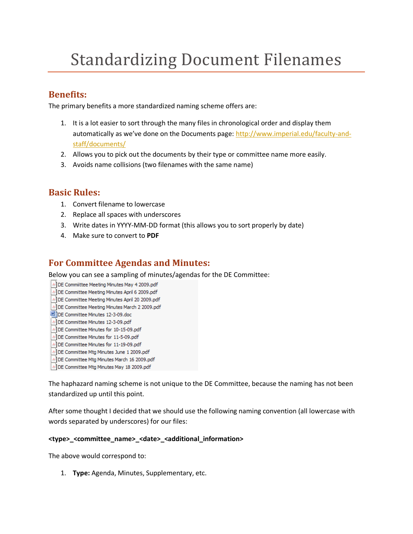# Standardizing Document Filenames

# **Benefits:**

The primary benefits a more standardized naming scheme offers are:

- 1. It is a lot easier to sort through the many files in chronological order and display them automatically as we've done on the Documents page: [http://www.imperial.edu/faculty-and](http://www.imperial.edu/faculty-and-staff/documents/)[staff/documents/](http://www.imperial.edu/faculty-and-staff/documents/)
- 2. Allows you to pick out the documents by their type or committee name more easily.
- 3. Avoids name collisions (two filenames with the same name)

## **Basic Rules:**

- 1. Convert filename to lowercase
- 2. Replace all spaces with underscores
- 3. Write dates in YYYY-MM-DD format (this allows you to sort properly by date)
- 4. Make sure to convert to **PDF**

# **For Committee Agendas and Minutes:**

Below you can see a sampling of minutes/agendas for the DE Committee:

- DE Committee Meeting Minutes May 4 2009.pdf
- DE Committee Meeting Minutes April 6 2009.pdf
- DE Committee Meeting Minutes April 20 2009.pdf
- DE Committee Meeting Minutes March 2 2009.pdf
- DE Committee Minutes 12-3-09.doc
- DE Committee Minutes 12-3-09.pdf
- DE Committee Minutes for 10-15-09.pdf
- DE Committee Minutes for 11-5-09.pdf
- DE Committee Minutes for 11-19-09.pdf
- DE Committee Mtg Minutes June 1 2009.pdf
- DE Committee Mtg Minutes March 16 2009.pdf
- DE Committee Mtg Minutes May 18 2009.pdf

The haphazard naming scheme is not unique to the DE Committee, because the naming has not been standardized up until this point.

After some thought I decided that we should use the following naming convention (all lowercase with words separated by underscores) for our files:

## **<type>\_<committee\_name>\_<date>\_<additional\_information>**

The above would correspond to:

1. **Type:** Agenda, Minutes, Supplementary, etc.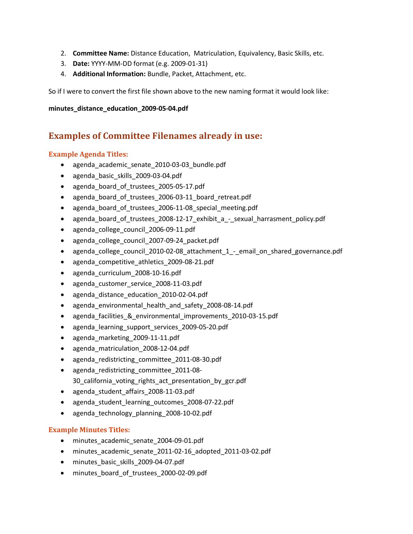- 2. **Committee Name:** Distance Education, Matriculation, Equivalency, Basic Skills, etc.
- 3. **Date:** YYYY-MM-DD format (e.g. 2009-01-31)
- 4. **Additional Information:** Bundle, Packet, Attachment, etc.

So if I were to convert the first file shown above to the new naming format it would look like:

#### **minutes\_distance\_education\_2009-05-04.pdf**

## **Examples of Committee Filenames already in use:**

### **Example Agenda Titles:**

- agenda academic senate 2010-03-03 bundle.pdf
- agenda\_basic\_skills\_2009-03-04.pdf
- agenda\_board\_of\_trustees\_2005-05-17.pdf
- agenda board of trustees 2006-03-11 board retreat.pdf
- agenda\_board\_of\_trustees\_2006-11-08\_special\_meeting.pdf
- agenda board of trustees 2008-12-17 exhibit a sexual harrasment policy.pdf
- agenda\_college\_council\_2006-09-11.pdf
- agenda\_college\_council\_2007-09-24\_packet.pdf
- agenda college council 2010-02-08 attachment 1 email on shared governance.pdf
- agenda\_competitive\_athletics\_2009-08-21.pdf
- agenda\_curriculum\_2008-10-16.pdf
- agenda\_customer\_service\_2008-11-03.pdf
- agenda\_distance\_education\_2010-02-04.pdf
- agenda environmental health and safety 2008-08-14.pdf
- agenda facilities & environmental improvements 2010-03-15.pdf
- agenda learning support services 2009-05-20.pdf
- agenda\_marketing\_2009-11-11.pdf
- agenda\_matriculation\_2008-12-04.pdf
- agenda\_redistricting\_committee\_2011-08-30.pdf
- agenda redistricting committee 2011-08-30\_california\_voting\_rights\_act\_presentation\_by\_gcr.pdf
- agenda\_student\_affairs\_2008-11-03.pdf
- agenda\_student\_learning\_outcomes\_2008-07-22.pdf
- agenda\_technology\_planning\_2008-10-02.pdf

## **Example Minutes Titles:**

- minutes\_academic\_senate\_2004-09-01.pdf
- minutes academic senate 2011-02-16 adopted 2011-03-02.pdf
- minutes basic skills 2009-04-07.pdf
- minutes board of trustees 2000-02-09.pdf